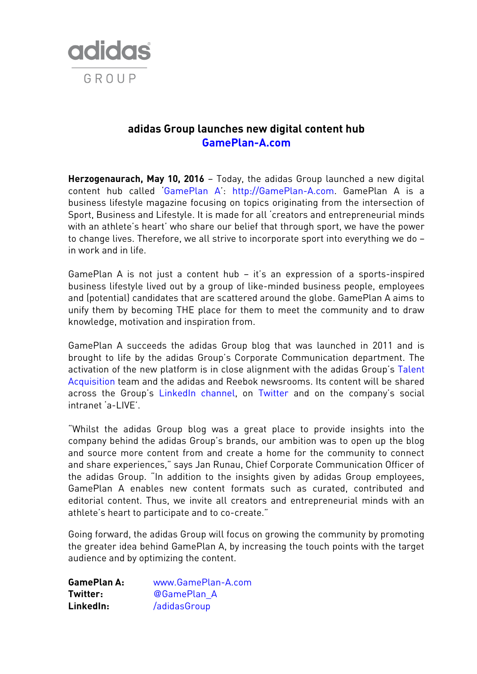

# **adidas Group launches new digital content hub [GamePlan-A.com](http://gameplan-a.com/)**

**Herzogenaurach, May 10, 2016** – Today, the adidas Group launched a new digital content hub called '[GamePlan A](http://www.gameplan-a.com/about)': [http://GamePlan-A.com.](http://gameplan-a.com/) GamePlan A is a business lifestyle magazine focusing on topics originating from the intersection of Sport, Business and Lifestyle. It is made for all 'creators and entrepreneurial minds with an athlete's heart' who share our belief that through sport, we have the power to change lives. Therefore, we all strive to incorporate sport into everything we do – in work and in life.

GamePlan A is not just a content hub – it's an expression of a sports-inspired business lifestyle lived out by a group of like-minded business people, employees and (potential) candidates that are scattered around the globe. GamePlan A aims to unify them by becoming THE place for them to meet the community and to draw knowledge, motivation and inspiration from.

GamePlan A succeeds the adidas Group blog that was launched in 2011 and is brought to life by the adidas Group's Corporate Communication department. The activation of the new platform is in close alignment with the adidas Group's Talent [Acquisition](http://careers.adidas-group.com/) team and the adidas and Reebok newsrooms. Its content will be shared across the Group's [LinkedIn channel,](https://www.linkedin.com/company/adidas-group) on [Twitter](http://www.twitter.com/gameplan_a) and on the company's social intranet 'a-LIVE'.

"Whilst the adidas Group blog was a great place to provide insights into the company behind the adidas Group's brands, our ambition was to open up the blog and source more content from and create a home for the community to connect and share experiences," says Jan Runau, Chief Corporate Communication Officer of the adidas Group. "In addition to the insights given by adidas Group employees, GamePlan A enables new content formats such as curated, contributed and editorial content. Thus, we invite all creators and entrepreneurial minds with an athlete's heart to participate and to co-create."

Going forward, the adidas Group will focus on growing the community by promoting the greater idea behind GamePlan A, by increasing the touch points with the target audience and by optimizing the content.

**GamePlan A:** [www.GamePlan-A.com](http://www.gameplan-a.com/) **Twitter:** [@GamePlan\\_A](http://www.twitter.com/gameplan_a) **LinkedIn:** [/adidasGroup](https://www.linkedin.com/company/adidas-group)